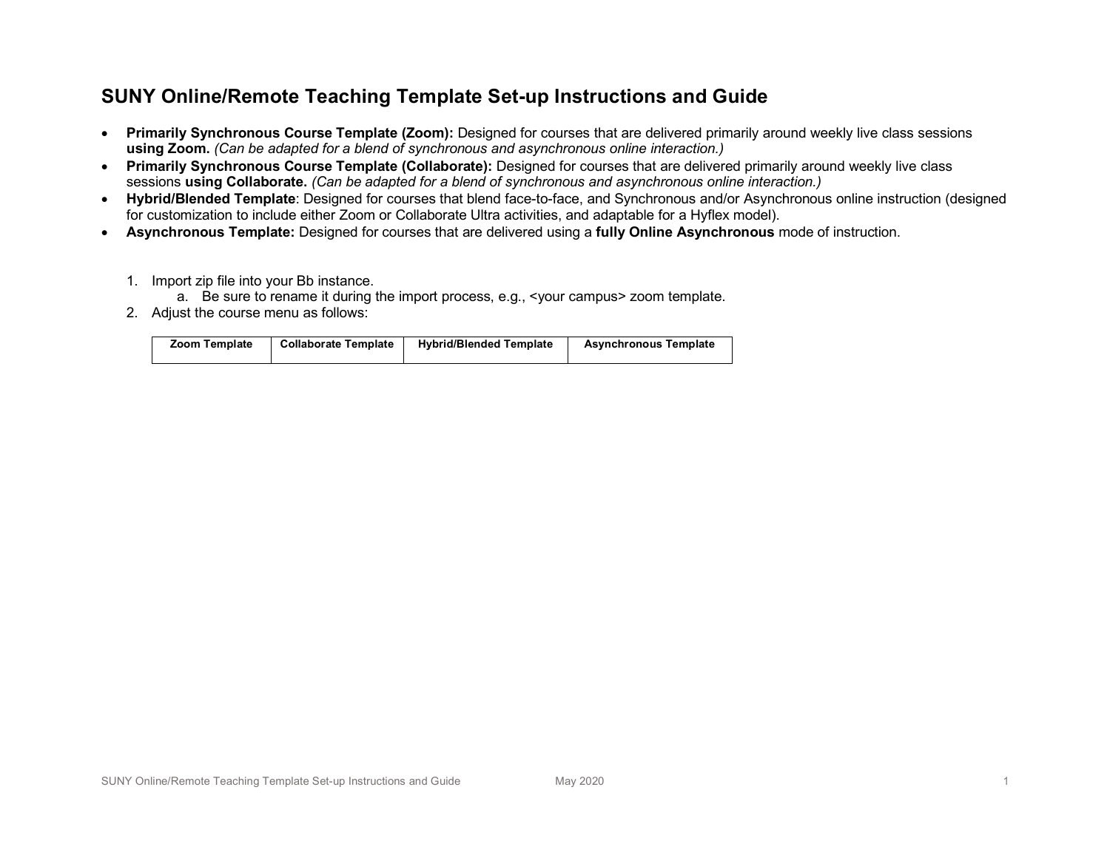## **SUNY Online/Remote Teaching Template Set-up Instructions and Guide**

- **Primarily Synchronous Course Template (Zoom):** Designed for courses that are delivered primarily around weekly live class sessions **using Zoom.** *(Can be adapted for a blend of synchronous and asynchronous online interaction.)*
- **Primarily Synchronous Course Template (Collaborate):** Designed for courses that are delivered primarily around weekly live class sessions **using Collaborate.** *(Can be adapted for a blend of synchronous and asynchronous online interaction.)*
- **Hybrid/Blended Template**: Designed for courses that blend face-to-face, and Synchronous and/or Asynchronous online instruction (designed for customization to include either Zoom or Collaborate Ultra activities, and adaptable for a Hyflex model).
- **Asynchronous Template:** Designed for courses that are delivered using a **fully Online Asynchronous** mode of instruction.
	- 1. Import zip file into your Bb instance.
		- a. Be sure to rename it during the import process, e.g., <your campus> zoom template.
	- 2. Adjust the course menu as follows:

| <b>Zoom Template</b> | <b>Collaborate Template</b> | <b>Hybrid/Blended Template</b> | <b>Asynchronous Template</b> |
|----------------------|-----------------------------|--------------------------------|------------------------------|
|----------------------|-----------------------------|--------------------------------|------------------------------|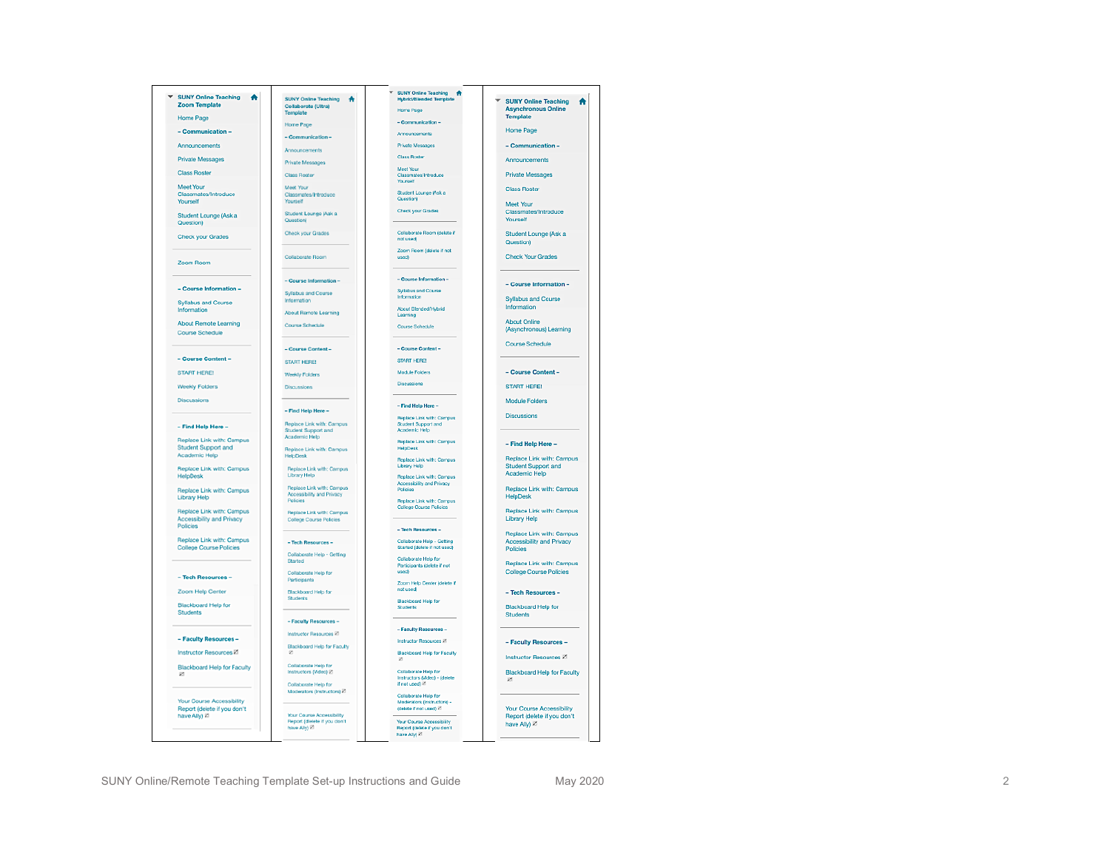| ▼ SUNY Online Teaching<br>٨<br><b>Zoom Template</b><br>Home Page | <b>SUNY Online Teaching</b><br>₩<br>Collaborate (Ultra)<br>Template | <b>Hybrid/Blended Template</b><br>Home Page                              | <b>SUNY Online Teaching</b><br><b>Asynchronous Online</b><br><b>Template</b> |
|------------------------------------------------------------------|---------------------------------------------------------------------|--------------------------------------------------------------------------|------------------------------------------------------------------------------|
|                                                                  | <b>Home Page</b>                                                    | - Communication -                                                        |                                                                              |
| - Communication -                                                | - Communication -                                                   | Announcements                                                            | Home Page                                                                    |
| Announcements                                                    | Announcements                                                       | <b>Private Messages</b>                                                  | - Communication-                                                             |
| Private Messages                                                 | <b>Private Messages</b>                                             | <b>Class Roster</b>                                                      | Announcements                                                                |
| <b>Class Roster</b>                                              | <b>Class Roster</b>                                                 | Meet Your<br>Classmates/Introduce                                        | <b>Private Messages</b>                                                      |
| Meet Your                                                        |                                                                     | Yourself                                                                 |                                                                              |
| Classmates/Introduce<br>Yourself                                 | Meet Your<br>Classmates/Introduce<br>Yourself                       | Student Lounge (Ask a<br>Question                                        | <b>Class Roster</b><br>Meet Your                                             |
| Student Lounge (Ask a<br>Question)                               | Student Lounge (Ask a<br>Questioni                                  | <b>Check your Grades</b>                                                 | Classmates/Introduce<br>Yourself                                             |
| <b>Check your Grades</b>                                         | Check your Grades                                                   | Collaborate Room (delete if<br>not used)                                 | Student Lounge (Ask a<br>Question)                                           |
| Zoom Room                                                        | Collaborate Room                                                    | Zoom Room (delete if not<br>used)                                        | <b>Check Your Grades</b>                                                     |
|                                                                  | - Course Information -                                              | - Course Information -                                                   | - Course Information -                                                       |
| - Course Information -                                           | Syllabus and Course                                                 | <b>Syllabus and Course</b><br>Information                                |                                                                              |
| <b>Syllabus and Course</b><br>Information                        | Information                                                         | About Blended/Hybrid                                                     | Syllabus and Course<br>Information                                           |
|                                                                  | <b>About Remote Learning</b>                                        | Learning                                                                 |                                                                              |
| <b>About Remote Learning</b><br>Course Schedule                  | Course Schedule                                                     | Course Schedule                                                          | <b>About Online</b><br>(Asynchronous) Learning                               |
|                                                                  | - Course Content-                                                   | - Course Content -                                                       | Course Schedule                                                              |
| - Course Content-                                                | <b>START HERE!</b>                                                  | <b>START HERE!</b>                                                       |                                                                              |
| <b>START HERE!</b>                                               |                                                                     | Module Folders                                                           | - Course Content-                                                            |
|                                                                  | Weekly Folders                                                      | Discussions                                                              | <b>START HERE!</b>                                                           |
| <b>Weekly Folders</b>                                            | Dienseeinne                                                         |                                                                          |                                                                              |
| Discussions                                                      |                                                                     | - Find Help Here -                                                       | Module Folders                                                               |
|                                                                  | - Find Help Here -                                                  | Replace Link with: Campus                                                | Discussions                                                                  |
| - Find Help Here -                                               | <b>Benisce Link with: Campus</b><br>Student Support and             | Student Support and<br>Academic Help                                     |                                                                              |
| Replace Link with: Campus                                        | Academic Help                                                       | Replace Link with: Campus                                                | - Find Help Here -                                                           |
| <b>Student Support and</b><br>Academic Help                      | Replace Link with: Campus<br>HelpDesk                               | HelpDesk                                                                 | Replace Link with: Campus                                                    |
| Replace Link with: Campus                                        | Replace Link with: Campus                                           | <b>Benlace Link with: Campus</b><br>Library Help                         | Student Support and                                                          |
| HelpDesk                                                         | <b>Library Help</b>                                                 | Replace Link with: Campus                                                | Academic Help                                                                |
| Replace Link with: Campus                                        | Replace Link with: Campus                                           | Accessibility and Privacy<br>Policies                                    | Replace Link with: Campus                                                    |
| Library Help                                                     | Accessibility and Privacy<br>Policies                               | Replace Link with: Campus                                                | <b>HelpDesk</b>                                                              |
| Replace Link with: Campus                                        | Replace Link with: Campus                                           | <b>College Course Policies</b>                                           | Replace Link with: Campus                                                    |
| Accessibility and Privacy                                        | <b>College Course Policies</b>                                      |                                                                          | Library Help                                                                 |
| Policies                                                         |                                                                     | - Tech Resources -                                                       | Replace Link with: Campus                                                    |
| Replace Link with: Campus<br><b>College Course Policies</b>      | - Tech Resources -                                                  | Collaborate Help - Getting<br>Started (delete if not used)               | Accessibility and Privacy<br>Policies                                        |
|                                                                  | Collaborate Help - Getting<br>Started                               | Collaborate Help for                                                     |                                                                              |
|                                                                  | Collaborate Help for                                                | Participants (delete if not<br>used)                                     | Replace Link with: Campus<br>College Course Policies                         |
| - Tech Resources -                                               | Participants                                                        | Zoom Help Center (delete if                                              |                                                                              |
| Zoom Help Center                                                 | Blackboard Help for                                                 | not used:                                                                | - Tech Resources -                                                           |
| Blackboard Help for<br>Students                                  | Students                                                            | Blackboard Help for<br>Students                                          | Blackboard Help for<br><b>Students</b>                                       |
|                                                                  | - Faculty Resources -                                               |                                                                          |                                                                              |
|                                                                  | Instructor Resources <sup>[2]</sup>                                 | - Faculty Resources -                                                    |                                                                              |
| - Faculty Resources -                                            | Blackboard Help for Faculty                                         | <b>Instructor Resources 21</b>                                           | - Faculty Resources -                                                        |
| <b>Instructor Resources 21</b>                                   |                                                                     | Blackboard Help for Faculty<br>z                                         | Instructor Resources Z                                                       |
| Blackboard Help for Faculty                                      | Collaborate Help for                                                |                                                                          |                                                                              |
| Ø                                                                | Instructors (Video) 2<br>Collaborate Help for                       | Collaborate Help for<br>Instructors (Video) - (delete<br>if not used) 27 | Blackboard Help for Faculty<br>z                                             |
|                                                                  | Moderators (Instructors) Z                                          | Collaborate Help for                                                     |                                                                              |
| Your Course Accessibility<br>Report (delete if you don't         |                                                                     | Moderators (Instructors) -<br>(delete if not used) 27                    | Your Course Accessibility                                                    |
| have Ally) 22                                                    | Your Course Accessibility                                           |                                                                          | Report (delete if you don't                                                  |
|                                                                  | Report (dielete if you don't<br>have Ally) 2                        | Your Course Accessibility<br>Report (delete if you don't                 | have Ally) 27                                                                |